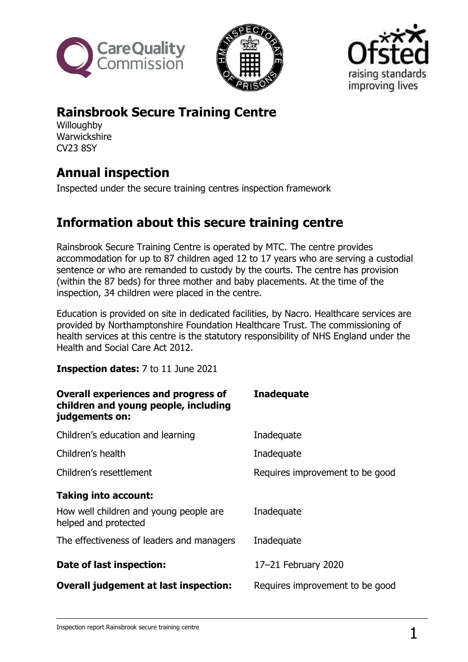





## **Rainsbrook Secure Training Centre**

**Willoughby Warwickshire** CV23 8SY

# **Annual inspection**

Inspected under the secure training centres inspection framework

### **Information about this secure training centre**

Rainsbrook Secure Training Centre is operated by MTC. The centre provides accommodation for up to 87 children aged 12 to 17 years who are serving a custodial sentence or who are remanded to custody by the courts. The centre has provision (within the 87 beds) for three mother and baby placements. At the time of the inspection, 34 children were placed in the centre.

Education is provided on site in dedicated facilities, by Nacro. Healthcare services are provided by Northamptonshire Foundation Healthcare Trust. The commissioning of health services at this centre is the statutory responsibility of NHS England under the Health and Social Care Act 2012.

**Inspection dates:** 7 to 11 June 2021

| <b>Overall experiences and progress of</b><br>children and young people, including<br>judgements on: | <b>Inadequate</b>               |
|------------------------------------------------------------------------------------------------------|---------------------------------|
| Children's education and learning                                                                    | Inadequate                      |
| Children's health                                                                                    | Inadequate                      |
| Children's resettlement                                                                              | Requires improvement to be good |
| <b>Taking into account:</b>                                                                          |                                 |
| How well children and young people are<br>helped and protected                                       | Inadequate                      |
| The effectiveness of leaders and managers                                                            | Inadequate                      |
| Date of last inspection:                                                                             | 17-21 February 2020             |
| <b>Overall judgement at last inspection:</b>                                                         | Requires improvement to be good |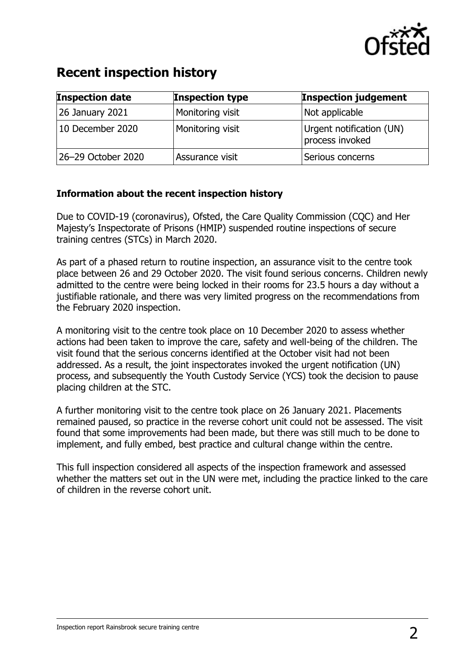

### **Recent inspection history**

| <b>Inspection date</b> | <b>Inspection type</b> | <b>Inspection judgement</b>                 |
|------------------------|------------------------|---------------------------------------------|
| <b>26 January 2021</b> | Monitoring visit       | Not applicable                              |
| 10 December 2020       | Monitoring visit       | Urgent notification (UN)<br>process invoked |
| 26-29 October 2020     | Assurance visit        | Serious concerns                            |

#### **Information about the recent inspection history**

Due to COVID-19 (coronavirus), Ofsted, the Care Quality Commission (CQC) and Her Majesty's Inspectorate of Prisons (HMIP) suspended routine inspections of secure training centres (STCs) in March 2020.

As part of a phased return to routine inspection, an assurance visit to the centre took place between 26 and 29 October 2020. The visit found serious concerns. Children newly admitted to the centre were being locked in their rooms for 23.5 hours a day without a justifiable rationale, and there was very limited progress on the recommendations from the February 2020 inspection.

A monitoring visit to the centre took place on 10 December 2020 to assess whether actions had been taken to improve the care, safety and well-being of the children. The visit found that the serious concerns identified at the October visit had not been addressed. As a result, the joint inspectorates invoked the urgent notification (UN) process, and subsequently the Youth Custody Service (YCS) took the decision to pause placing children at the STC.

A further monitoring visit to the centre took place on 26 January 2021. Placements remained paused, so practice in the reverse cohort unit could not be assessed. The visit found that some improvements had been made, but there was still much to be done to implement, and fully embed, best practice and cultural change within the centre.

This full inspection considered all aspects of the inspection framework and assessed whether the matters set out in the UN were met, including the practice linked to the care of children in the reverse cohort unit.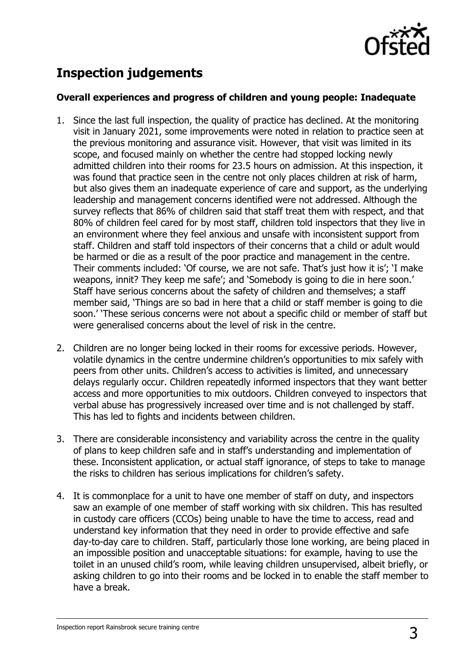

# **Inspection judgements**

#### **Overall experiences and progress of children and young people: Inadequate**

- 1. Since the last full inspection, the quality of practice has declined. At the monitoring visit in January 2021, some improvements were noted in relation to practice seen at the previous monitoring and assurance visit. However, that visit was limited in its scope, and focused mainly on whether the centre had stopped locking newly admitted children into their rooms for 23.5 hours on admission. At this inspection, it was found that practice seen in the centre not only places children at risk of harm, but also gives them an inadequate experience of care and support, as the underlying leadership and management concerns identified were not addressed. Although the survey reflects that 86% of children said that staff treat them with respect, and that 80% of children feel cared for by most staff, children told inspectors that they live in an environment where they feel anxious and unsafe with inconsistent support from staff. Children and staff told inspectors of their concerns that a child or adult would be harmed or die as a result of the poor practice and management in the centre. Their comments included: 'Of course, we are not safe. That's just how it is'; 'I make weapons, innit? They keep me safe'; and 'Somebody is going to die in here soon.' Staff have serious concerns about the safety of children and themselves; a staff member said, 'Things are so bad in here that a child or staff member is going to die soon.' 'These serious concerns were not about a specific child or member of staff but were generalised concerns about the level of risk in the centre.
- 2. Children are no longer being locked in their rooms for excessive periods. However, volatile dynamics in the centre undermine children's opportunities to mix safely with peers from other units. Children's access to activities is limited, and unnecessary delays regularly occur. Children repeatedly informed inspectors that they want better access and more opportunities to mix outdoors. Children conveyed to inspectors that verbal abuse has progressively increased over time and is not challenged by staff. This has led to fights and incidents between children.
- 3. There are considerable inconsistency and variability across the centre in the quality of plans to keep children safe and in staff's understanding and implementation of these. Inconsistent application, or actual staff ignorance, of steps to take to manage the risks to children has serious implications for children's safety.
- 4. It is commonplace for a unit to have one member of staff on duty, and inspectors saw an example of one member of staff working with six children. This has resulted in custody care officers (CCOs) being unable to have the time to access, read and understand key information that they need in order to provide effective and safe day-to-day care to children. Staff, particularly those lone working, are being placed in an impossible position and unacceptable situations: for example, having to use the toilet in an unused child's room, while leaving children unsupervised, albeit briefly, or asking children to go into their rooms and be locked in to enable the staff member to have a break.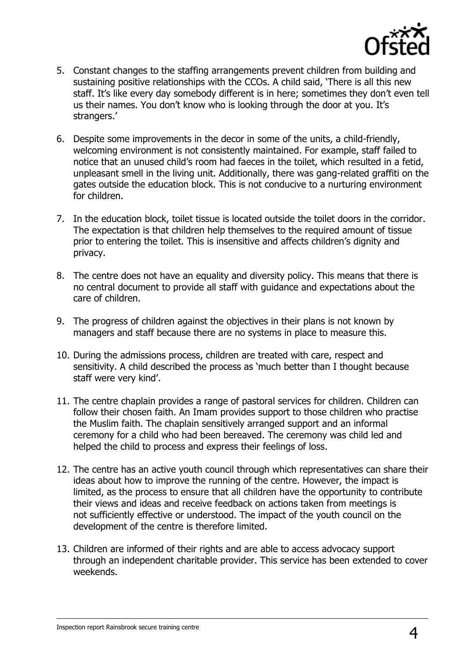

- 5. Constant changes to the staffing arrangements prevent children from building and sustaining positive relationships with the CCOs. A child said, 'There is all this new staff. It's like every day somebody different is in here; sometimes they don't even tell us their names. You don't know who is looking through the door at you. It's strangers.'
- 6. Despite some improvements in the decor in some of the units, a child-friendly, welcoming environment is not consistently maintained. For example, staff failed to notice that an unused child's room had faeces in the toilet, which resulted in a fetid, unpleasant smell in the living unit. Additionally, there was gang-related graffiti on the gates outside the education block. This is not conducive to a nurturing environment for children.
- 7. In the education block, toilet tissue is located outside the toilet doors in the corridor. The expectation is that children help themselves to the required amount of tissue prior to entering the toilet. This is insensitive and affects children's dignity and privacy.
- 8. The centre does not have an equality and diversity policy. This means that there is no central document to provide all staff with guidance and expectations about the care of children.
- 9. The progress of children against the objectives in their plans is not known by managers and staff because there are no systems in place to measure this.
- 10. During the admissions process, children are treated with care, respect and sensitivity. A child described the process as 'much better than I thought because staff were very kind'.
- 11. The centre chaplain provides a range of pastoral services for children. Children can follow their chosen faith. An Imam provides support to those children who practise the Muslim faith. The chaplain sensitively arranged support and an informal ceremony for a child who had been bereaved. The ceremony was child led and helped the child to process and express their feelings of loss.
- 12. The centre has an active youth council through which representatives can share their ideas about how to improve the running of the centre. However, the impact is limited, as the process to ensure that all children have the opportunity to contribute their views and ideas and receive feedback on actions taken from meetings is not sufficiently effective or understood. The impact of the youth council on the development of the centre is therefore limited.
- 13. Children are informed of their rights and are able to access advocacy support through an independent charitable provider. This service has been extended to cover weekends.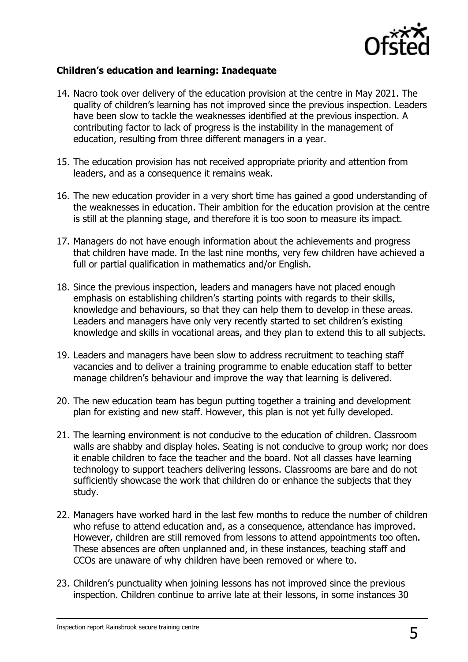

#### **Children's education and learning: Inadequate**

- 14. Nacro took over delivery of the education provision at the centre in May 2021. The quality of children's learning has not improved since the previous inspection. Leaders have been slow to tackle the weaknesses identified at the previous inspection. A contributing factor to lack of progress is the instability in the management of education, resulting from three different managers in a year.
- 15. The education provision has not received appropriate priority and attention from leaders, and as a consequence it remains weak.
- 16. The new education provider in a very short time has gained a good understanding of the weaknesses in education. Their ambition for the education provision at the centre is still at the planning stage, and therefore it is too soon to measure its impact.
- 17. Managers do not have enough information about the achievements and progress that children have made. In the last nine months, very few children have achieved a full or partial qualification in mathematics and/or English.
- 18. Since the previous inspection, leaders and managers have not placed enough emphasis on establishing children's starting points with regards to their skills, knowledge and behaviours, so that they can help them to develop in these areas. Leaders and managers have only very recently started to set children's existing knowledge and skills in vocational areas, and they plan to extend this to all subjects.
- 19. Leaders and managers have been slow to address recruitment to teaching staff vacancies and to deliver a training programme to enable education staff to better manage children's behaviour and improve the way that learning is delivered.
- 20. The new education team has begun putting together a training and development plan for existing and new staff. However, this plan is not yet fully developed.
- 21. The learning environment is not conducive to the education of children. Classroom walls are shabby and display holes. Seating is not conducive to group work; nor does it enable children to face the teacher and the board. Not all classes have learning technology to support teachers delivering lessons. Classrooms are bare and do not sufficiently showcase the work that children do or enhance the subjects that they study.
- 22. Managers have worked hard in the last few months to reduce the number of children who refuse to attend education and, as a consequence, attendance has improved. However, children are still removed from lessons to attend appointments too often. These absences are often unplanned and, in these instances, teaching staff and CCOs are unaware of why children have been removed or where to.
- 23. Children's punctuality when joining lessons has not improved since the previous inspection. Children continue to arrive late at their lessons, in some instances 30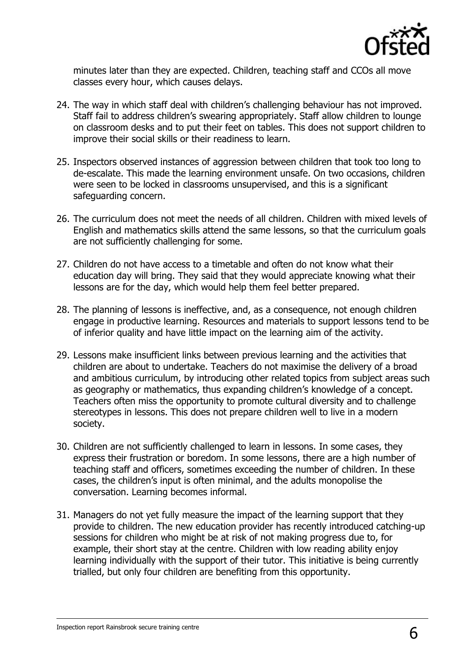

minutes later than they are expected. Children, teaching staff and CCOs all move classes every hour, which causes delays.

- 24. The way in which staff deal with children's challenging behaviour has not improved. Staff fail to address children's swearing appropriately. Staff allow children to lounge on classroom desks and to put their feet on tables. This does not support children to improve their social skills or their readiness to learn.
- 25. Inspectors observed instances of aggression between children that took too long to de-escalate. This made the learning environment unsafe. On two occasions, children were seen to be locked in classrooms unsupervised, and this is a significant safeguarding concern.
- 26. The curriculum does not meet the needs of all children. Children with mixed levels of English and mathematics skills attend the same lessons, so that the curriculum goals are not sufficiently challenging for some.
- 27. Children do not have access to a timetable and often do not know what their education day will bring. They said that they would appreciate knowing what their lessons are for the day, which would help them feel better prepared.
- 28. The planning of lessons is ineffective, and, as a consequence, not enough children engage in productive learning. Resources and materials to support lessons tend to be of inferior quality and have little impact on the learning aim of the activity.
- 29. Lessons make insufficient links between previous learning and the activities that children are about to undertake. Teachers do not maximise the delivery of a broad and ambitious curriculum, by introducing other related topics from subject areas such as geography or mathematics, thus expanding children's knowledge of a concept. Teachers often miss the opportunity to promote cultural diversity and to challenge stereotypes in lessons. This does not prepare children well to live in a modern society.
- 30. Children are not sufficiently challenged to learn in lessons. In some cases, they express their frustration or boredom. In some lessons, there are a high number of teaching staff and officers, sometimes exceeding the number of children. In these cases, the children's input is often minimal, and the adults monopolise the conversation. Learning becomes informal.
- 31. Managers do not yet fully measure the impact of the learning support that they provide to children. The new education provider has recently introduced catching-up sessions for children who might be at risk of not making progress due to, for example, their short stay at the centre. Children with low reading ability enjoy learning individually with the support of their tutor. This initiative is being currently trialled, but only four children are benefiting from this opportunity.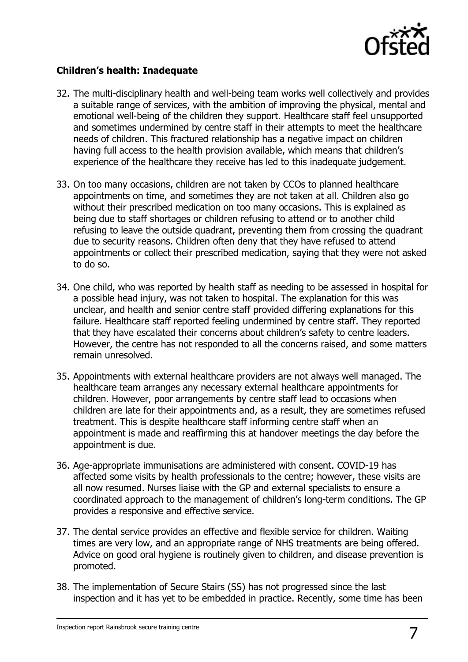

#### **Children's health: Inadequate**

- 32. The multi-disciplinary health and well-being team works well collectively and provides a suitable range of services, with the ambition of improving the physical, mental and emotional well-being of the children they support. Healthcare staff feel unsupported and sometimes undermined by centre staff in their attempts to meet the healthcare needs of children. This fractured relationship has a negative impact on children having full access to the health provision available, which means that children's experience of the healthcare they receive has led to this inadequate judgement.
- 33. On too many occasions, children are not taken by CCOs to planned healthcare appointments on time, and sometimes they are not taken at all. Children also go without their prescribed medication on too many occasions. This is explained as being due to staff shortages or children refusing to attend or to another child refusing to leave the outside quadrant, preventing them from crossing the quadrant due to security reasons. Children often deny that they have refused to attend appointments or collect their prescribed medication, saying that they were not asked to do so.
- 34. One child, who was reported by health staff as needing to be assessed in hospital for a possible head injury, was not taken to hospital. The explanation for this was unclear, and health and senior centre staff provided differing explanations for this failure. Healthcare staff reported feeling undermined by centre staff. They reported that they have escalated their concerns about children's safety to centre leaders. However, the centre has not responded to all the concerns raised, and some matters remain unresolved.
- 35. Appointments with external healthcare providers are not always well managed. The healthcare team arranges any necessary external healthcare appointments for children. However, poor arrangements by centre staff lead to occasions when children are late for their appointments and, as a result, they are sometimes refused treatment. This is despite healthcare staff informing centre staff when an appointment is made and reaffirming this at handover meetings the day before the appointment is due.
- 36. Age-appropriate immunisations are administered with consent. COVID-19 has affected some visits by health professionals to the centre; however, these visits are all now resumed. Nurses liaise with the GP and external specialists to ensure a coordinated approach to the management of children's long-term conditions. The GP provides a responsive and effective service.
- 37. The dental service provides an effective and flexible service for children. Waiting times are very low, and an appropriate range of NHS treatments are being offered. Advice on good oral hygiene is routinely given to children, and disease prevention is promoted.
- 38. The implementation of Secure Stairs (SS) has not progressed since the last inspection and it has yet to be embedded in practice. Recently, some time has been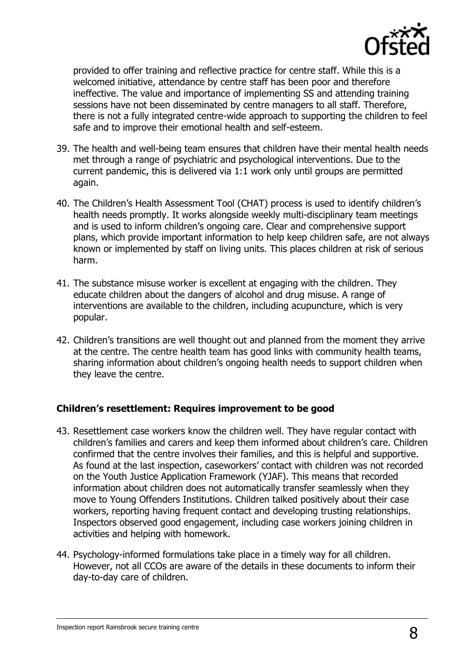

provided to offer training and reflective practice for centre staff. While this is a welcomed initiative, attendance by centre staff has been poor and therefore ineffective. The value and importance of implementing SS and attending training sessions have not been disseminated by centre managers to all staff. Therefore, there is not a fully integrated centre-wide approach to supporting the children to feel safe and to improve their emotional health and self-esteem.

- 39. The health and well-being team ensures that children have their mental health needs met through a range of psychiatric and psychological interventions. Due to the current pandemic, this is delivered via 1:1 work only until groups are permitted again.
- 40. The Children's Health Assessment Tool (CHAT) process is used to identify children's health needs promptly. It works alongside weekly multi-disciplinary team meetings and is used to inform children's ongoing care. Clear and comprehensive support plans, which provide important information to help keep children safe, are not always known or implemented by staff on living units. This places children at risk of serious harm.
- 41. The substance misuse worker is excellent at engaging with the children. They educate children about the dangers of alcohol and drug misuse. A range of interventions are available to the children, including acupuncture, which is very popular.
- 42. Children's transitions are well thought out and planned from the moment they arrive at the centre. The centre health team has good links with community health teams, sharing information about children's ongoing health needs to support children when they leave the centre.

#### **Children's resettlement: Requires improvement to be good**

- 43. Resettlement case workers know the children well. They have regular contact with children's families and carers and keep them informed about children's care. Children confirmed that the centre involves their families, and this is helpful and supportive. As found at the last inspection, caseworkers' contact with children was not recorded on the Youth Justice Application Framework (YJAF). This means that recorded information about children does not automatically transfer seamlessly when they move to Young Offenders Institutions. Children talked positively about their case workers, reporting having frequent contact and developing trusting relationships. Inspectors observed good engagement, including case workers joining children in activities and helping with homework.
- 44. Psychology-informed formulations take place in a timely way for all children. However, not all CCOs are aware of the details in these documents to inform their day-to-day care of children.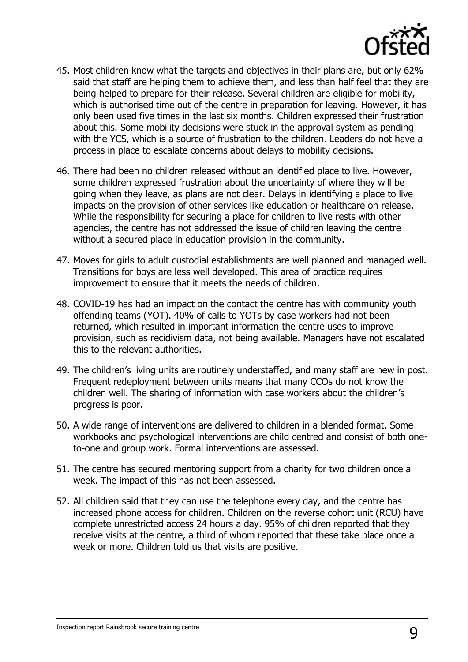

- 45. Most children know what the targets and objectives in their plans are, but only 62% said that staff are helping them to achieve them, and less than half feel that they are being helped to prepare for their release. Several children are eligible for mobility, which is authorised time out of the centre in preparation for leaving. However, it has only been used five times in the last six months. Children expressed their frustration about this. Some mobility decisions were stuck in the approval system as pending with the YCS, which is a source of frustration to the children. Leaders do not have a process in place to escalate concerns about delays to mobility decisions.
- 46. There had been no children released without an identified place to live. However, some children expressed frustration about the uncertainty of where they will be going when they leave, as plans are not clear. Delays in identifying a place to live impacts on the provision of other services like education or healthcare on release. While the responsibility for securing a place for children to live rests with other agencies, the centre has not addressed the issue of children leaving the centre without a secured place in education provision in the community.
- 47. Moves for girls to adult custodial establishments are well planned and managed well. Transitions for boys are less well developed. This area of practice requires improvement to ensure that it meets the needs of children.
- 48. COVID-19 has had an impact on the contact the centre has with community youth offending teams (YOT). 40% of calls to YOTs by case workers had not been returned, which resulted in important information the centre uses to improve provision, such as recidivism data, not being available. Managers have not escalated this to the relevant authorities.
- 49. The children's living units are routinely understaffed, and many staff are new in post. Frequent redeployment between units means that many CCOs do not know the children well. The sharing of information with case workers about the children's progress is poor.
- 50. A wide range of interventions are delivered to children in a blended format. Some workbooks and psychological interventions are child centred and consist of both oneto-one and group work. Formal interventions are assessed.
- 51. The centre has secured mentoring support from a charity for two children once a week. The impact of this has not been assessed.
- 52. All children said that they can use the telephone every day, and the centre has increased phone access for children. Children on the reverse cohort unit (RCU) have complete unrestricted access 24 hours a day. 95% of children reported that they receive visits at the centre, a third of whom reported that these take place once a week or more. Children told us that visits are positive.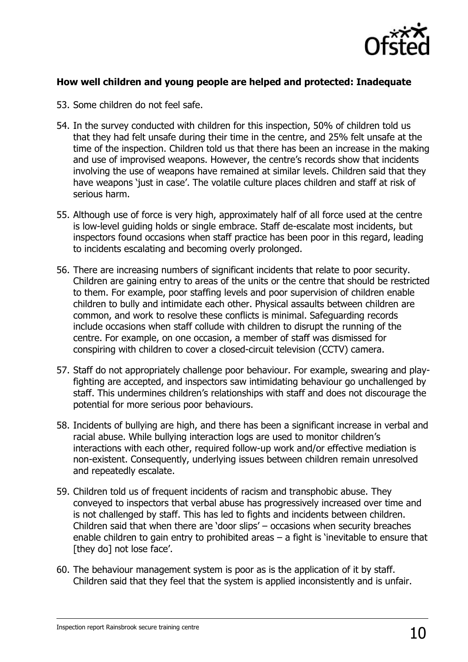

#### **How well children and young people are helped and protected: Inadequate**

- 53. Some children do not feel safe.
- 54. In the survey conducted with children for this inspection, 50% of children told us that they had felt unsafe during their time in the centre, and 25% felt unsafe at the time of the inspection. Children told us that there has been an increase in the making and use of improvised weapons. However, the centre's records show that incidents involving the use of weapons have remained at similar levels. Children said that they have weapons 'just in case'. The volatile culture places children and staff at risk of serious harm.
- 55. Although use of force is very high, approximately half of all force used at the centre is low-level guiding holds or single embrace. Staff de-escalate most incidents, but inspectors found occasions when staff practice has been poor in this regard, leading to incidents escalating and becoming overly prolonged.
- 56. There are increasing numbers of significant incidents that relate to poor security. Children are gaining entry to areas of the units or the centre that should be restricted to them. For example, poor staffing levels and poor supervision of children enable children to bully and intimidate each other. Physical assaults between children are common, and work to resolve these conflicts is minimal. Safeguarding records include occasions when staff collude with children to disrupt the running of the centre. For example, on one occasion, a member of staff was dismissed for conspiring with children to cover a closed-circuit television (CCTV) camera.
- 57. Staff do not appropriately challenge poor behaviour. For example, swearing and playfighting are accepted, and inspectors saw intimidating behaviour go unchallenged by staff. This undermines children's relationships with staff and does not discourage the potential for more serious poor behaviours.
- 58. Incidents of bullying are high, and there has been a significant increase in verbal and racial abuse. While bullying interaction logs are used to monitor children's interactions with each other, required follow-up work and/or effective mediation is non-existent. Consequently, underlying issues between children remain unresolved and repeatedly escalate.
- 59. Children told us of frequent incidents of racism and transphobic abuse. They conveyed to inspectors that verbal abuse has progressively increased over time and is not challenged by staff. This has led to fights and incidents between children. Children said that when there are 'door slips' – occasions when security breaches enable children to gain entry to prohibited areas – a fight is 'inevitable to ensure that [they do] not lose face'.
- 60. The behaviour management system is poor as is the application of it by staff. Children said that they feel that the system is applied inconsistently and is unfair.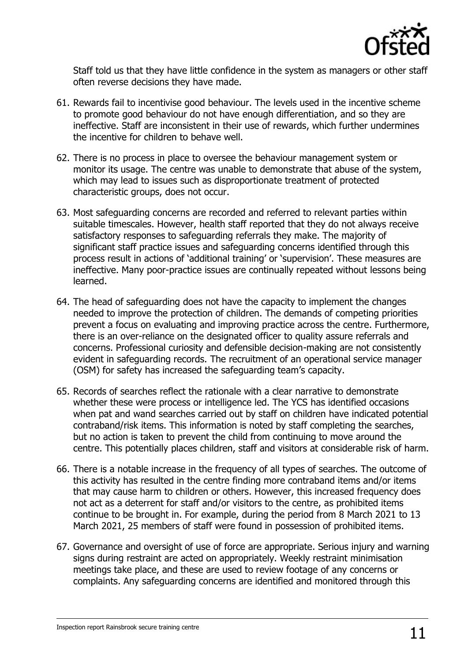

Staff told us that they have little confidence in the system as managers or other staff often reverse decisions they have made.

- 61. Rewards fail to incentivise good behaviour. The levels used in the incentive scheme to promote good behaviour do not have enough differentiation, and so they are ineffective. Staff are inconsistent in their use of rewards, which further undermines the incentive for children to behave well.
- 62. There is no process in place to oversee the behaviour management system or monitor its usage. The centre was unable to demonstrate that abuse of the system, which may lead to issues such as disproportionate treatment of protected characteristic groups, does not occur.
- 63. Most safeguarding concerns are recorded and referred to relevant parties within suitable timescales. However, health staff reported that they do not always receive satisfactory responses to safeguarding referrals they make. The majority of significant staff practice issues and safeguarding concerns identified through this process result in actions of 'additional training' or 'supervision'. These measures are ineffective. Many poor-practice issues are continually repeated without lessons being learned.
- 64. The head of safeguarding does not have the capacity to implement the changes needed to improve the protection of children. The demands of competing priorities prevent a focus on evaluating and improving practice across the centre. Furthermore, there is an over-reliance on the designated officer to quality assure referrals and concerns. Professional curiosity and defensible decision-making are not consistently evident in safeguarding records. The recruitment of an operational service manager (OSM) for safety has increased the safeguarding team's capacity.
- 65. Records of searches reflect the rationale with a clear narrative to demonstrate whether these were process or intelligence led. The YCS has identified occasions when pat and wand searches carried out by staff on children have indicated potential contraband/risk items. This information is noted by staff completing the searches, but no action is taken to prevent the child from continuing to move around the centre. This potentially places children, staff and visitors at considerable risk of harm.
- 66. There is a notable increase in the frequency of all types of searches. The outcome of this activity has resulted in the centre finding more contraband items and/or items that may cause harm to children or others. However, this increased frequency does not act as a deterrent for staff and/or visitors to the centre, as prohibited items continue to be brought in. For example, during the period from 8 March 2021 to 13 March 2021, 25 members of staff were found in possession of prohibited items.
- 67. Governance and oversight of use of force are appropriate. Serious injury and warning signs during restraint are acted on appropriately. Weekly restraint minimisation meetings take place, and these are used to review footage of any concerns or complaints. Any safeguarding concerns are identified and monitored through this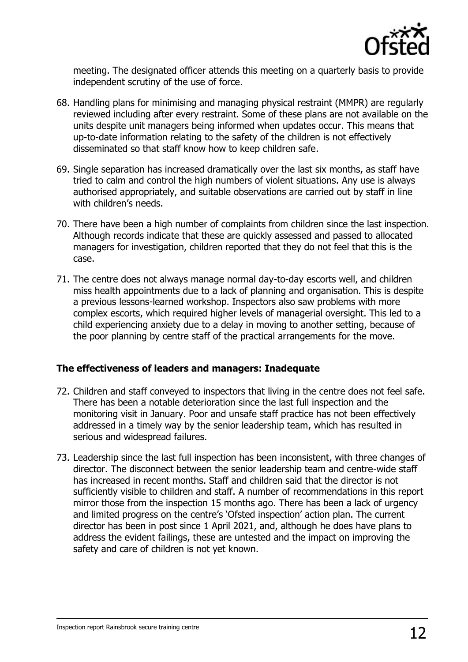

meeting. The designated officer attends this meeting on a quarterly basis to provide independent scrutiny of the use of force.

- 68. Handling plans for minimising and managing physical restraint (MMPR) are regularly reviewed including after every restraint. Some of these plans are not available on the units despite unit managers being informed when updates occur. This means that up-to-date information relating to the safety of the children is not effectively disseminated so that staff know how to keep children safe.
- 69. Single separation has increased dramatically over the last six months, as staff have tried to calm and control the high numbers of violent situations. Any use is always authorised appropriately, and suitable observations are carried out by staff in line with children's needs.
- 70. There have been a high number of complaints from children since the last inspection. Although records indicate that these are quickly assessed and passed to allocated managers for investigation, children reported that they do not feel that this is the case.
- 71. The centre does not always manage normal day-to-day escorts well, and children miss health appointments due to a lack of planning and organisation. This is despite a previous lessons-learned workshop. Inspectors also saw problems with more complex escorts, which required higher levels of managerial oversight. This led to a child experiencing anxiety due to a delay in moving to another setting, because of the poor planning by centre staff of the practical arrangements for the move.

#### **The effectiveness of leaders and managers: Inadequate**

- 72. Children and staff conveyed to inspectors that living in the centre does not feel safe. There has been a notable deterioration since the last full inspection and the monitoring visit in January. Poor and unsafe staff practice has not been effectively addressed in a timely way by the senior leadership team, which has resulted in serious and widespread failures.
- 73. Leadership since the last full inspection has been inconsistent, with three changes of director. The disconnect between the senior leadership team and centre-wide staff has increased in recent months. Staff and children said that the director is not sufficiently visible to children and staff. A number of recommendations in this report mirror those from the inspection 15 months ago. There has been a lack of urgency and limited progress on the centre's 'Ofsted inspection' action plan. The current director has been in post since 1 April 2021, and, although he does have plans to address the evident failings, these are untested and the impact on improving the safety and care of children is not yet known.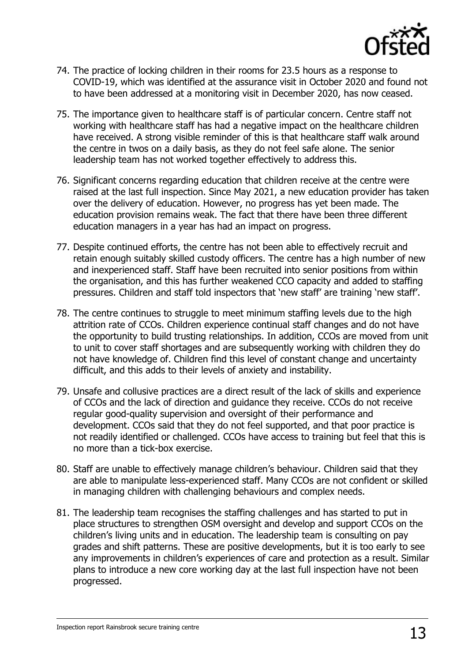

- 74. The practice of locking children in their rooms for 23.5 hours as a response to COVID-19, which was identified at the assurance visit in October 2020 and found not to have been addressed at a monitoring visit in December 2020, has now ceased.
- 75. The importance given to healthcare staff is of particular concern. Centre staff not working with healthcare staff has had a negative impact on the healthcare children have received. A strong visible reminder of this is that healthcare staff walk around the centre in twos on a daily basis, as they do not feel safe alone. The senior leadership team has not worked together effectively to address this.
- 76. Significant concerns regarding education that children receive at the centre were raised at the last full inspection. Since May 2021, a new education provider has taken over the delivery of education. However, no progress has yet been made. The education provision remains weak. The fact that there have been three different education managers in a year has had an impact on progress.
- 77. Despite continued efforts, the centre has not been able to effectively recruit and retain enough suitably skilled custody officers. The centre has a high number of new and inexperienced staff. Staff have been recruited into senior positions from within the organisation, and this has further weakened CCO capacity and added to staffing pressures. Children and staff told inspectors that 'new staff' are training 'new staff'.
- 78. The centre continues to struggle to meet minimum staffing levels due to the high attrition rate of CCOs. Children experience continual staff changes and do not have the opportunity to build trusting relationships. In addition, CCOs are moved from unit to unit to cover staff shortages and are subsequently working with children they do not have knowledge of. Children find this level of constant change and uncertainty difficult, and this adds to their levels of anxiety and instability.
- 79. Unsafe and collusive practices are a direct result of the lack of skills and experience of CCOs and the lack of direction and guidance they receive. CCOs do not receive regular good-quality supervision and oversight of their performance and development. CCOs said that they do not feel supported, and that poor practice is not readily identified or challenged. CCOs have access to training but feel that this is no more than a tick-box exercise.
- 80. Staff are unable to effectively manage children's behaviour. Children said that they are able to manipulate less-experienced staff. Many CCOs are not confident or skilled in managing children with challenging behaviours and complex needs.
- 81. The leadership team recognises the staffing challenges and has started to put in place structures to strengthen OSM oversight and develop and support CCOs on the children's living units and in education. The leadership team is consulting on pay grades and shift patterns. These are positive developments, but it is too early to see any improvements in children's experiences of care and protection as a result. Similar plans to introduce a new core working day at the last full inspection have not been progressed.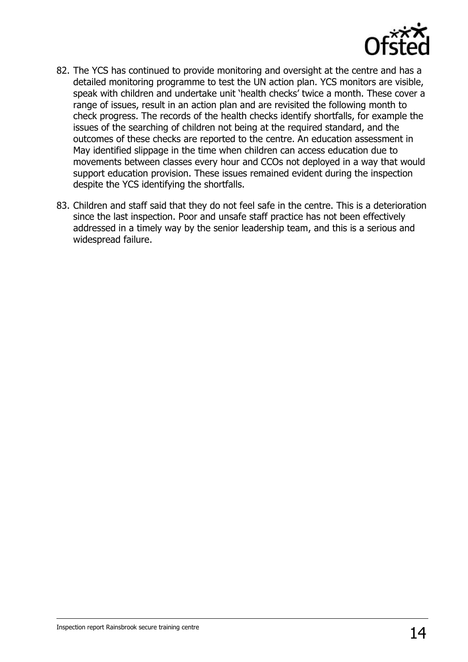

- 82. The YCS has continued to provide monitoring and oversight at the centre and has a detailed monitoring programme to test the UN action plan. YCS monitors are visible, speak with children and undertake unit 'health checks' twice a month. These cover a range of issues, result in an action plan and are revisited the following month to check progress. The records of the health checks identify shortfalls, for example the issues of the searching of children not being at the required standard, and the outcomes of these checks are reported to the centre. An education assessment in May identified slippage in the time when children can access education due to movements between classes every hour and CCOs not deployed in a way that would support education provision. These issues remained evident during the inspection despite the YCS identifying the shortfalls.
- 83. Children and staff said that they do not feel safe in the centre. This is a deterioration since the last inspection. Poor and unsafe staff practice has not been effectively addressed in a timely way by the senior leadership team, and this is a serious and widespread failure.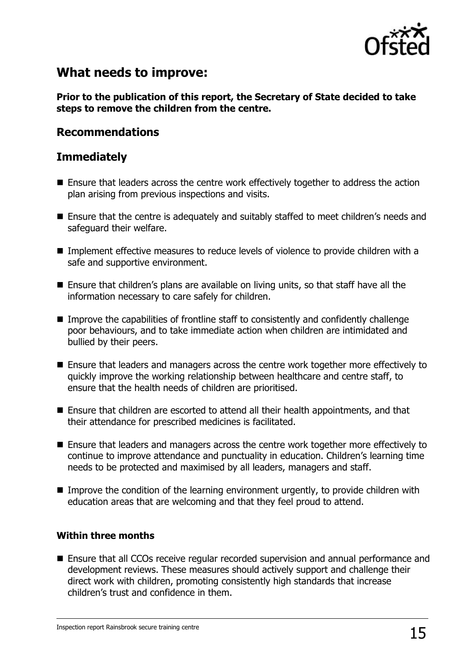

### **What needs to improve:**

**Prior to the publication of this report, the Secretary of State decided to take steps to remove the children from the centre.**

### **Recommendations**

### **Immediately**

- Ensure that leaders across the centre work effectively together to address the action plan arising from previous inspections and visits.
- Ensure that the centre is adequately and suitably staffed to meet children's needs and safeguard their welfare.
- Implement effective measures to reduce levels of violence to provide children with a safe and supportive environment.
- Ensure that children's plans are available on living units, so that staff have all the information necessary to care safely for children.
- Improve the capabilities of frontline staff to consistently and confidently challenge poor behaviours, and to take immediate action when children are intimidated and bullied by their peers.
- Ensure that leaders and managers across the centre work together more effectively to quickly improve the working relationship between healthcare and centre staff, to ensure that the health needs of children are prioritised.
- Ensure that children are escorted to attend all their health appointments, and that their attendance for prescribed medicines is facilitated.
- Ensure that leaders and managers across the centre work together more effectively to continue to improve attendance and punctuality in education. Children's learning time needs to be protected and maximised by all leaders, managers and staff.
- Improve the condition of the learning environment urgently, to provide children with education areas that are welcoming and that they feel proud to attend.

#### **Within three months**

■ Ensure that all CCOs receive regular recorded supervision and annual performance and development reviews. These measures should actively support and challenge their direct work with children, promoting consistently high standards that increase children's trust and confidence in them.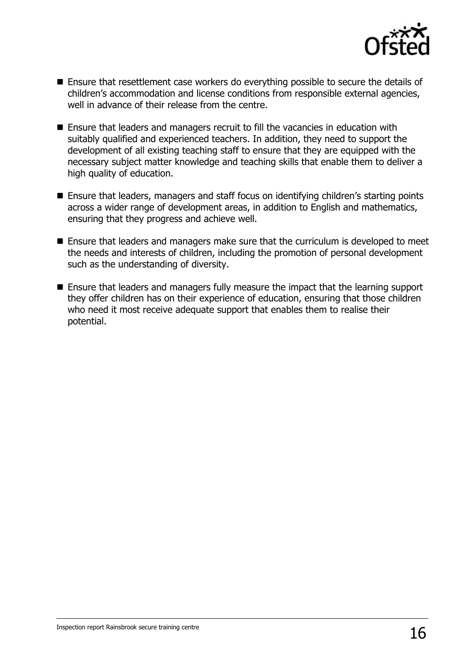

- Ensure that resettlement case workers do everything possible to secure the details of children's accommodation and license conditions from responsible external agencies, well in advance of their release from the centre.
- Ensure that leaders and managers recruit to fill the vacancies in education with suitably qualified and experienced teachers. In addition, they need to support the development of all existing teaching staff to ensure that they are equipped with the necessary subject matter knowledge and teaching skills that enable them to deliver a high quality of education.
- Ensure that leaders, managers and staff focus on identifying children's starting points across a wider range of development areas, in addition to English and mathematics, ensuring that they progress and achieve well.
- Ensure that leaders and managers make sure that the curriculum is developed to meet the needs and interests of children, including the promotion of personal development such as the understanding of diversity.
- Ensure that leaders and managers fully measure the impact that the learning support they offer children has on their experience of education, ensuring that those children who need it most receive adequate support that enables them to realise their potential.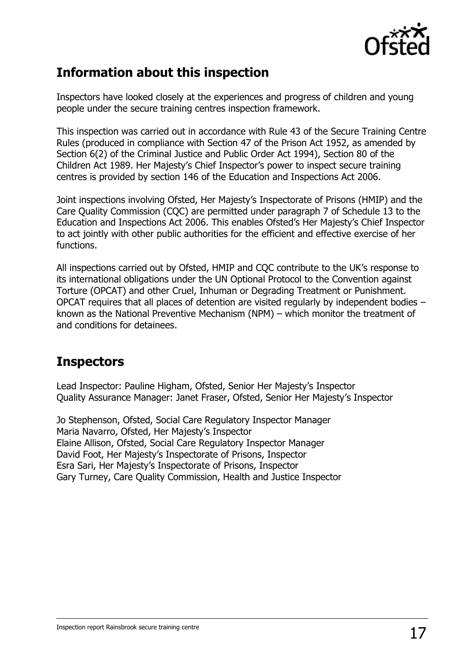

## **Information about this inspection**

Inspectors have looked closely at the experiences and progress of children and young people under the secure training centres inspection framework.

This inspection was carried out in accordance with Rule 43 of the Secure Training Centre Rules (produced in compliance with Section 47 of the Prison Act 1952, as amended by Section 6(2) of the Criminal Justice and Public Order Act 1994), Section 80 of the Children Act 1989. Her Majesty's Chief Inspector's power to inspect secure training centres is provided by section 146 of the Education and Inspections Act 2006.

Joint inspections involving Ofsted, Her Majesty's Inspectorate of Prisons (HMIP) and the Care Quality Commission (CQC) are permitted under paragraph 7 of Schedule 13 to the Education and Inspections Act 2006. This enables Ofsted's Her Majesty's Chief Inspector to act jointly with other public authorities for the efficient and effective exercise of her functions.

All inspections carried out by Ofsted, HMIP and CQC contribute to the UK's response to its international obligations under the UN Optional Protocol to the Convention against Torture (OPCAT) and other Cruel, Inhuman or Degrading Treatment or Punishment. OPCAT requires that all places of detention are visited regularly by independent bodies – known as the National Preventive Mechanism (NPM) – which monitor the treatment of and conditions for detainees.

## **Inspectors**

Lead Inspector: Pauline Higham, Ofsted, Senior Her Majesty's Inspector Quality Assurance Manager: Janet Fraser, Ofsted, Senior Her Majesty's Inspector

Jo Stephenson, Ofsted, Social Care Regulatory Inspector Manager Maria Navarro, Ofsted, Her Majesty's Inspector Elaine Allison, Ofsted, Social Care Regulatory Inspector Manager David Foot, Her Majesty's Inspectorate of Prisons, Inspector Esra Sari, Her Majesty's Inspectorate of Prisons, Inspector Gary Turney, Care Quality Commission, Health and Justice Inspector